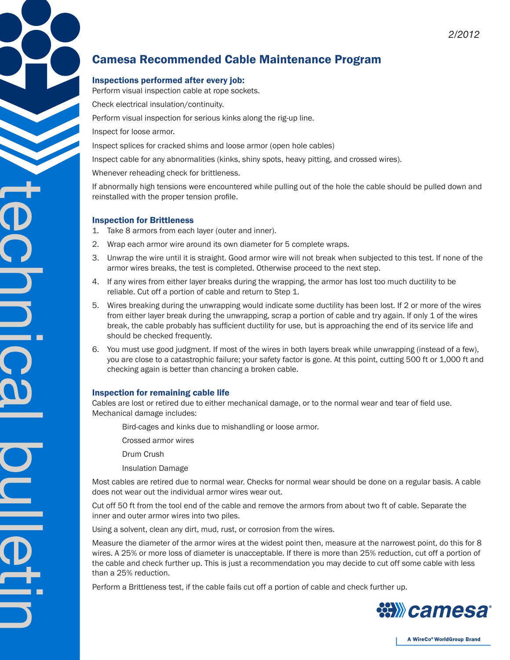# Camesa Recommended Cable Maintenance Program

## Inspections performed after every job:

Perform visual inspection cable at rope sockets.

Check electrical insulation/continuity.

Perform visual inspection for serious kinks along the rig-up line.

Inspect for loose armor.

Inspect splices for cracked shims and loose armor (open hole cables)

Inspect cable for any abnormalities (kinks, shiny spots, heavy pitting, and crossed wires).

Whenever reheading check for brittleness.

If abnormally high tensions were encountered while pulling out of the hole the cable should be pulled down and reinstalled with the proper tension profile.

### Inspection for Brittleness

1. Take 8 armors from each layer (outer and inner).

- 2. Wrap each armor wire around its own diameter for 5 complete wraps.
- 3. Unwrap the wire until it is straight. Good armor wire will not break when subjected to this test. If none of the armor wires breaks, the test is completed. Otherwise proceed to the next step.
- 4. If any wires from either layer breaks during the wrapping, the armor has lost too much ductility to be reliable. Cut off a portion of cable and return to Step 1.
- 5. Wires breaking during the unwrapping would indicate some ductility has been lost. If 2 or more of the wires from either layer break during the unwrapping, scrap a portion of cable and try again. If only 1 of the wires break, the cable probably has sufficient ductility for use, but is approaching the end of its service life and should be checked frequently.
- 6. You must use good judgment. If most of the wires in both layers break while unwrapping (instead of a few), you are close to a catastrophic failure; your safety factor is gone. At this point, cutting 500 ft or 1,000 ft and checking again is better than chancing a broken cable.

## Inspection for remaining cable life

Cables are lost or retired due to either mechanical damage, or to the normal wear and tear of field use. Mechanical damage includes:

Bird-cages and kinks due to mishandling or loose armor.

Crossed armor wires

Drum Crush

Insulation Damage

Most cables are retired due to normal wear. Checks for normal wear should be done on a regular basis. A cable does not wear out the individual armor wires wear out.

Cut off 50 ft from the tool end of the cable and remove the armors from about two ft of cable. Separate the inner and outer armor wires into two piles.

Using a solvent, clean any dirt, mud, rust, or corrosion from the wires.

Measure the diameter of the armor wires at the widest point then, measure at the narrowest point, do this for 8 wires. A 25% or more loss of diameter is unacceptable. If there is more than 25% reduction, cut off a portion of the cable and check further up. This is just a recommendation you may decide to cut off some cable with less than a 25% reduction.

Perform a Brittleness test, if the cable fails cut off a portion of cable and check further up.